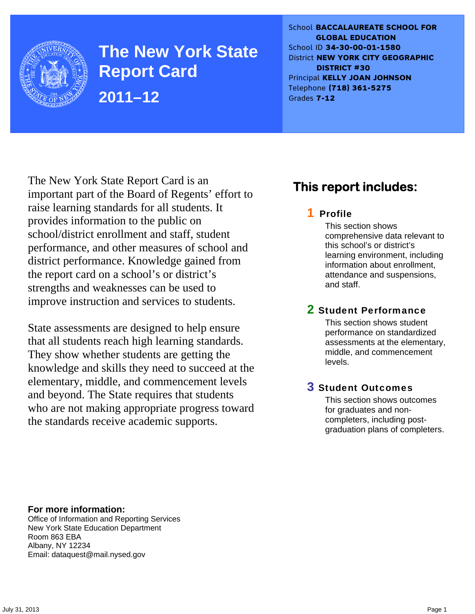

**The New York State Report Card 2011–12** 

School **BACCALAUREATE SCHOOL FOR GLOBAL EDUCATION** School ID **34-30-00-01-1580** District **NEW YORK CITY GEOGRAPHIC DISTRICT #30** Principal **KELLY JOAN JOHNSON** Telephone **(718) 361-5275** Grades **7-12**

The New York State Report Card is an important part of the Board of Regents' effort to raise learning standards for all students. It provides information to the public on school/district enrollment and staff, student performance, and other measures of school and district performance. Knowledge gained from the report card on a school's or district's strengths and weaknesses can be used to improve instruction and services to students.

State assessments are designed to help ensure that all students reach high learning standards. They show whether students are getting the knowledge and skills they need to succeed at the elementary, middle, and commencement levels and beyond. The State requires that students who are not making appropriate progress toward the standards receive academic supports.

# **This report includes:**

### 1 Profile

This section shows comprehensive data relevant to this school's or district's learning environment, including information about enrollment, attendance and suspensions, and staff.

### 2 Student Performance

This section shows student performance on standardized assessments at the elementary, middle, and commencement levels.

### 3 Student Outcomes

This section shows outcomes for graduates and noncompleters, including postgraduation plans of completers.

**For more information:**  Office of Information and Reporting Services New York State Education Department Room 863 EBA Albany, NY 12234

Email: dataquest@mail.nysed.gov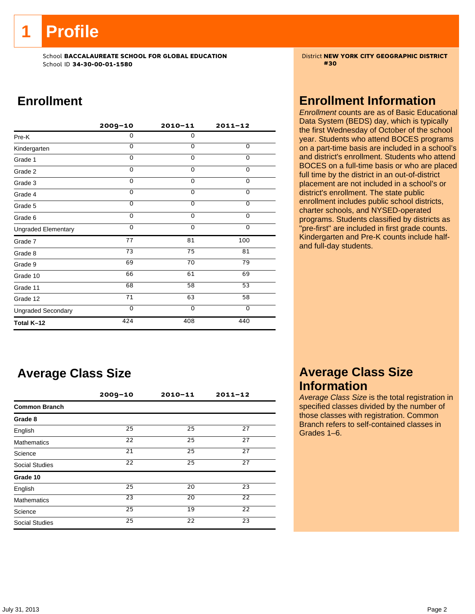**1 Profile** 

School **BACCALAUREATE SCHOOL FOR GLOBAL EDUCATION** District **NEW YORK CITY GEOGRAPHIC DISTRICT** School ID **34-30-00-01-1580 #30**

# **Enrollment**

|                            | $2009 - 10$ | $2010 - 11$    | $2011 - 12$     |
|----------------------------|-------------|----------------|-----------------|
| Pre-K                      | 0           | $\mathbf 0$    |                 |
| Kindergarten               | $\Omega$    | $\Omega$       | 0               |
| Grade 1                    | $\Omega$    | $\Omega$       | 0               |
| Grade 2                    | $\Omega$    | 0              | 0               |
| Grade 3                    | $\Omega$    | $\mathbf 0$    | 0               |
| Grade 4                    | $\Omega$    | $\mathbf 0$    | $\overline{0}$  |
| Grade 5                    | $\Omega$    | $\overline{0}$ | $\overline{0}$  |
| Grade 6                    | $\Omega$    | $\Omega$       | 0               |
| <b>Ungraded Elementary</b> | $\Omega$    | $\Omega$       | $\Omega$        |
| Grade 7                    | 77          | 81             | 100             |
| Grade 8                    | 73          | 75             | 81              |
| Grade 9                    | 69          | 70             | 79              |
| Grade 10                   | 66          | 61             | 69              |
| Grade 11                   | 68          | 58             | $\overline{53}$ |
| Grade 12                   | 71          | 63             | 58              |
| <b>Ungraded Secondary</b>  | $\Omega$    | $\Omega$       | 0               |
| Total K-12                 | 424         | 408            | 440             |

# **Average Class Size**

|                       | $2009 - 10$ | $2010 - 11$ | $2011 - 12$     |  |
|-----------------------|-------------|-------------|-----------------|--|
| <b>Common Branch</b>  |             |             |                 |  |
| Grade 8               |             |             |                 |  |
| English               | 25          | 25          | 27              |  |
| <b>Mathematics</b>    | 22          | 25          | 27              |  |
| Science               | 21          | 25          | 27              |  |
| <b>Social Studies</b> | 22          | 25          | 27              |  |
| Grade 10              |             |             |                 |  |
| English               | 25          | 20          | 23              |  |
| <b>Mathematics</b>    | 23          | 20          | $\overline{22}$ |  |
| Science               | 25          | 19          | 22              |  |
| <b>Social Studies</b> | 25          | 22          | 23              |  |

# **Enrollment Information**

*Enrollment* counts are as of Basic Educational Data System (BEDS) day, which is typically the first Wednesday of October of the school year. Students who attend BOCES programs on a part-time basis are included in a school's and district's enrollment. Students who attend BOCES on a full-time basis or who are placed full time by the district in an out-of-district placement are not included in a school's or district's enrollment. The state public enrollment includes public school districts, charter schools, and NYSED-operated programs. Students classified by districts as "pre-first" are included in first grade counts. Kindergarten and Pre-K counts include halfand full-day students.

## **Average Class Size Information**

*Average Class Size* is the total registration in specified classes divided by the number of those classes with registration. Common Branch refers to self-contained classes in Grades 1–6.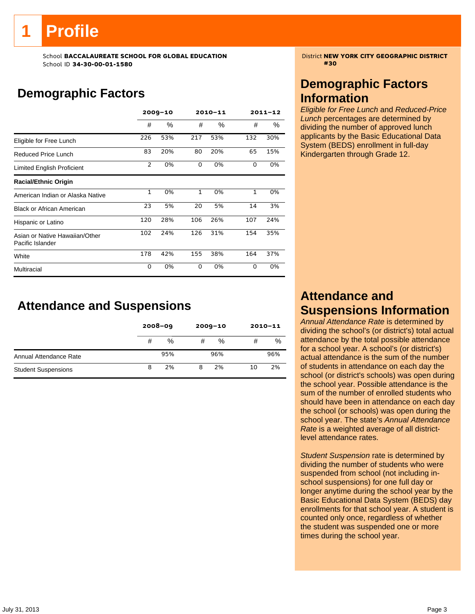# **1 Profile**

School **BACCALAUREATE SCHOOL FOR GLOBAL EDUCATION** District **NEW YORK CITY GEOGRAPHIC DISTRICT** School ID **34-30-00-01-1580 #30**

# **Demographic Factors**

|                                                    |                | $2009 - 10$ |              | 2010-11 |              | $2011 - 12$ |
|----------------------------------------------------|----------------|-------------|--------------|---------|--------------|-------------|
|                                                    | #              | ℅           | #            | %       | #            | %           |
| Eligible for Free Lunch                            | 226            | 53%         | 217          | 53%     | 132          | 30%         |
| <b>Reduced Price Lunch</b>                         | 83             | 20%         | 80           | 20%     | 65           | 15%         |
| Limited English Proficient                         | $\overline{2}$ | 0%          | 0            | 0%      | 0            | 0%          |
| <b>Racial/Ethnic Origin</b>                        |                |             |              |         |              |             |
| American Indian or Alaska Native                   | $\mathbf{1}$   | 0%          | $\mathbf{1}$ | 0%      | $\mathbf{1}$ | 0%          |
| <b>Black or African American</b>                   | 23             | 5%          | 20           | 5%      | 14           | 3%          |
| Hispanic or Latino                                 | 120            | 28%         | 106          | 26%     | 107          | 24%         |
| Asian or Native Hawaiian/Other<br>Pacific Islander | 102            | 24%         | 126          | 31%     | 154          | 35%         |
| White                                              | 178            | 42%         | 155          | 38%     | 164          | 37%         |
| Multiracial                                        | 0              | 0%          | 0            | 0%      | 0            | 0%          |

**Attendance and Suspensions** 

|                            |   | $2008 - 09$ |   | $2009 - 10$ | $2010 - 11$ |     |
|----------------------------|---|-------------|---|-------------|-------------|-----|
|                            | # | %           | # | %           | #           | %   |
| Annual Attendance Rate     |   | 95%         |   | 96%         |             | 96% |
| <b>Student Suspensions</b> | 8 | 2%          | 8 | 2%          | 10          | 2%  |

# **Demographic Factors Information**

*Eligible for Free Lunch* and *Reduced-Price Lunch* percentages are determined by dividing the number of approved lunch applicants by the Basic Educational Data System (BEDS) enrollment in full-day Kindergarten through Grade 12.

# **Attendance and Suspensions Information**

*Annual Attendance Rate* is determined by dividing the school's (or district's) total actual attendance by the total possible attendance for a school year. A school's (or district's) actual attendance is the sum of the number of students in attendance on each day the school (or district's schools) was open during the school year. Possible attendance is the sum of the number of enrolled students who should have been in attendance on each day the school (or schools) was open during the school year. The state's *Annual Attendance Rate* is a weighted average of all districtlevel attendance rates.

*Student Suspension* rate is determined by dividing the number of students who were suspended from school (not including inschool suspensions) for one full day or longer anytime during the school year by the Basic Educational Data System (BEDS) day enrollments for that school year. A student is counted only once, regardless of whether the student was suspended one or more times during the school year.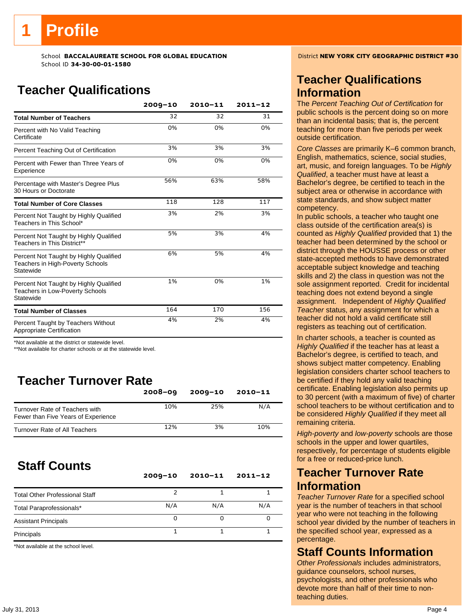# **Teacher Qualifications**

|                                                                                               | $2009 - 10$ | $2010 - 11$ | $2011 - 12$ |
|-----------------------------------------------------------------------------------------------|-------------|-------------|-------------|
| <b>Total Number of Teachers</b>                                                               | 32          | 32          | 31          |
| Percent with No Valid Teaching<br>Certificate                                                 | 0%          | 0%          | 0%          |
| Percent Teaching Out of Certification                                                         | 3%          | 3%          | 3%          |
| Percent with Fewer than Three Years of<br>Experience                                          | 0%          | 0%          | 0%          |
| Percentage with Master's Degree Plus<br>30 Hours or Doctorate                                 | 56%         | 63%         | 58%         |
| <b>Total Number of Core Classes</b>                                                           | 118         | 128         | 117         |
| Percent Not Taught by Highly Qualified<br>Teachers in This School*                            | 3%          | 2%          | 3%          |
| Percent Not Taught by Highly Qualified<br>Teachers in This District**                         | 5%          | 3%          | 4%          |
| Percent Not Taught by Highly Qualified<br>Teachers in High-Poverty Schools<br>Statewide       | 6%          | 5%          | 4%          |
| Percent Not Taught by Highly Qualified<br><b>Teachers in Low-Poverty Schools</b><br>Statewide | 1%          | 0%          | 1%          |
| <b>Total Number of Classes</b>                                                                | 164         | 170         | 156         |
| Percent Taught by Teachers Without<br>Appropriate Certification                               | 4%          | 2%          | 4%          |

\*Not available at the district or statewide level.

\*\*Not available for charter schools or at the statewide level.

# **Teacher Turnover Rate**

|                                                                       | $2008 - 09$ | $2009 - 10$ | 2010-11 |
|-----------------------------------------------------------------------|-------------|-------------|---------|
| Turnover Rate of Teachers with<br>Fewer than Five Years of Experience | 10%         | 25%         | N/A     |
| Turnover Rate of All Teachers                                         | 12%         | 3%          | 10%     |

# **Staff Counts**

|                                       | $2009 - 10$ | $2010 - 11$ | $2011 - 12$ |
|---------------------------------------|-------------|-------------|-------------|
| <b>Total Other Professional Staff</b> |             |             |             |
| Total Paraprofessionals*              | N/A         | N/A         | N/A         |
| <b>Assistant Principals</b>           | O           |             |             |
| Principals                            |             |             |             |

\*Not available at the school level.

# **Teacher Qualifications Information**

The *Percent Teaching Out of Certification* for public schools is the percent doing so on more than an incidental basis; that is, the percent teaching for more than five periods per week outside certification.

*Core Classes* are primarily K–6 common branch, English, mathematics, science, social studies, art, music, and foreign languages. To be *Highly Qualified*, a teacher must have at least a Bachelor's degree, be certified to teach in the subject area or otherwise in accordance with state standards, and show subject matter competency.

In public schools, a teacher who taught one class outside of the certification area(s) is counted as *Highly Qualified* provided that 1) the teacher had been determined by the school or district through the HOUSSE process or other state-accepted methods to have demonstrated acceptable subject knowledge and teaching skills and 2) the class in question was not the sole assignment reported. Credit for incidental teaching does not extend beyond a single assignment. Independent of *Highly Qualified Teacher* status, any assignment for which a teacher did not hold a valid certificate still registers as teaching out of certification.

In charter schools, a teacher is counted as *Highly Qualified* if the teacher has at least a Bachelor's degree, is certified to teach, and shows subject matter competency. Enabling legislation considers charter school teachers to be certified if they hold any valid teaching certificate. Enabling legislation also permits up to 30 percent (with a maximum of five) of charter school teachers to be without certification and to be considered *Highly Qualified* if they meet all remaining criteria.

*High-poverty* and *low-poverty* schools are those schools in the upper and lower quartiles, respectively, for percentage of students eligible for a free or reduced-price lunch.

### **Teacher Turnover Rate Information**

*Teacher Turnover Rate* for a specified school year is the number of teachers in that school year who were not teaching in the following school year divided by the number of teachers in the specified school year, expressed as a percentage.

### **Staff Counts Information**

*Other Professionals* includes administrators, guidance counselors, school nurses, psychologists, and other professionals who devote more than half of their time to nonteaching duties.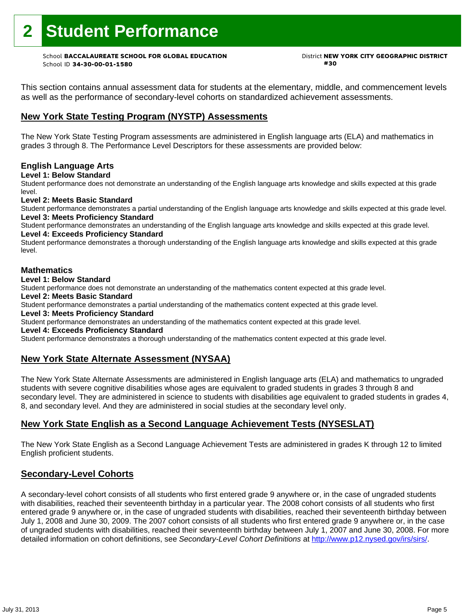# **2 Student Performance**

School **BACCALAUREATE SCHOOL FOR GLOBAL EDUCATION** District **NEW YORK CITY GEOGRAPHIC DISTRICT** School ID **34-30-00-01-1580 #30**

This section contains annual assessment data for students at the elementary, middle, and commencement levels as well as the performance of secondary-level cohorts on standardized achievement assessments.

### **New York State Testing Program (NYSTP) Assessments**

The New York State Testing Program assessments are administered in English language arts (ELA) and mathematics in grades 3 through 8. The Performance Level Descriptors for these assessments are provided below:

#### **English Language Arts**

**Level 1: Below Standard** 

Student performance does not demonstrate an understanding of the English language arts knowledge and skills expected at this grade level.

#### **Level 2: Meets Basic Standard**

Student performance demonstrates a partial understanding of the English language arts knowledge and skills expected at this grade level. **Level 3: Meets Proficiency Standard** 

Student performance demonstrates an understanding of the English language arts knowledge and skills expected at this grade level. **Level 4: Exceeds Proficiency Standard** 

Student performance demonstrates a thorough understanding of the English language arts knowledge and skills expected at this grade level.

#### **Mathematics**

#### **Level 1: Below Standard**

Student performance does not demonstrate an understanding of the mathematics content expected at this grade level.

#### **Level 2: Meets Basic Standard**

Student performance demonstrates a partial understanding of the mathematics content expected at this grade level.

#### **Level 3: Meets Proficiency Standard**

Student performance demonstrates an understanding of the mathematics content expected at this grade level.

#### **Level 4: Exceeds Proficiency Standard**

Student performance demonstrates a thorough understanding of the mathematics content expected at this grade level.

### **New York State Alternate Assessment (NYSAA)**

The New York State Alternate Assessments are administered in English language arts (ELA) and mathematics to ungraded students with severe cognitive disabilities whose ages are equivalent to graded students in grades 3 through 8 and secondary level. They are administered in science to students with disabilities age equivalent to graded students in grades 4, 8, and secondary level. And they are administered in social studies at the secondary level only.

### **New York State English as a Second Language Achievement Tests (NYSESLAT)**

The New York State English as a Second Language Achievement Tests are administered in grades K through 12 to limited English proficient students.

#### **Secondary-Level Cohorts**

A secondary-level cohort consists of all students who first entered grade 9 anywhere or, in the case of ungraded students with disabilities, reached their seventeenth birthday in a particular year. The 2008 cohort consists of all students who first entered grade 9 anywhere or, in the case of ungraded students with disabilities, reached their seventeenth birthday between July 1, 2008 and June 30, 2009. The 2007 cohort consists of all students who first entered grade 9 anywhere or, in the case of ungraded students with disabilities, reached their seventeenth birthday between July 1, 2007 and June 30, 2008. For more detailed information on cohort definitions, see *Secondary-Level Cohort Definitions* at http://www.p12.nysed.gov/irs/sirs/.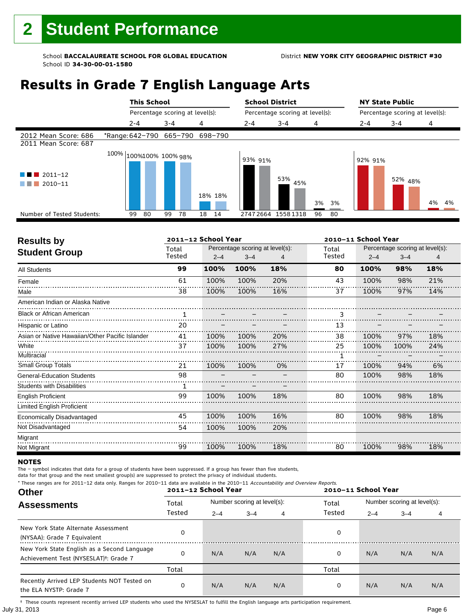# **Results in Grade 7 English Language Arts**

|                                              | <b>This School</b>                |                                 |          | <b>School District</b>          |            |          |         | <b>NY State Public</b> |          |                                 |  |
|----------------------------------------------|-----------------------------------|---------------------------------|----------|---------------------------------|------------|----------|---------|------------------------|----------|---------------------------------|--|
|                                              |                                   | Percentage scoring at level(s): |          | Percentage scoring at level(s): |            |          |         |                        |          | Percentage scoring at level(s): |  |
|                                              | $2 - 4$                           | $3 - 4$                         | 4        | $2 - 4$                         | $3 - 4$    | 4        | $2 - 4$ | $3 - 4$                | 4        |                                 |  |
| 2012 Mean Score: 686<br>2011 Mean Score: 687 | *Range: 642-790 665-790 698-790   |                                 |          |                                 |            |          |         |                        |          |                                 |  |
| $2011 - 12$<br>2010-11                       | $100\%$ $ 100\%100\%$ $100\%$ 98% |                                 | 18% 18%  | 93% 91%                         | 53%<br>45% | 3%<br>3% | 92% 91% | 52% 48%                | 4%<br>4% |                                 |  |
| Number of Tested Students:                   | 80<br>99                          | 99<br>78                        | 18<br>14 | 27472664                        | 15581318   | 96<br>80 |         |                        |          |                                 |  |
|                                              |                                   |                                 |          |                                 |            |          |         |                        |          |                                 |  |

| <b>Results by</b>                               | 2011-12 School Year |         |                                 |     | 2010-11 School Year |         |                                 |     |
|-------------------------------------------------|---------------------|---------|---------------------------------|-----|---------------------|---------|---------------------------------|-----|
| <b>Student Group</b>                            | Total               |         | Percentage scoring at level(s): |     | Total               |         | Percentage scoring at level(s): |     |
|                                                 | Tested              | $2 - 4$ | $3 - 4$                         |     | Tested              | $2 - 4$ | $3 - 4$                         | 4   |
| <b>All Students</b>                             | 99                  | 100%    | 100%                            | 18% | 80                  | 100%    | 98%                             | 18% |
| Female                                          | 61                  | 100%    | 100%                            | 20% | 43                  | 100%    | 98%                             | 21% |
| Male                                            | 38                  | 100%    | 100%                            | 16% | 37                  | 100%    | 97%                             | 14% |
| American Indian or Alaska Native                |                     |         |                                 |     |                     |         |                                 |     |
| <b>Black or African American</b>                | 1                   |         |                                 |     | 3                   |         |                                 |     |
| Hispanic or Latino                              | 20                  |         |                                 |     | 13                  |         |                                 |     |
| Asian or Native Hawaiian/Other Pacific Islander | 41                  | 100%    | 100%                            | 20% | 38                  | 100%    | 97%                             | 18% |
| White                                           | 37                  | 100%    | 100%                            | 27% | 25                  | 100%    | 100%                            | 24% |
| Multiracial                                     |                     |         |                                 |     |                     |         |                                 |     |
| <b>Small Group Totals</b>                       | 21                  | 100%    | 100%                            | 0%  | 17                  | 100%    | 94%                             | 6%  |
| <b>General-Education Students</b>               | 98                  |         |                                 |     | 80                  | 100%    | 98%                             | 18% |
| <b>Students with Disabilities</b>               |                     |         |                                 |     |                     |         |                                 |     |
| <b>English Proficient</b>                       | 99                  | 100%    | 100%                            | 18% | 80                  | 100%    | 98%                             | 18% |
| <b>Limited English Proficient</b>               |                     |         |                                 |     |                     |         |                                 |     |
| Economically Disadvantaged                      | 45                  | 100%    | 100%                            | 16% | 80                  | 100%    | 98%                             | 18% |
| Not Disadvantaged                               | 54                  | 100%    | 100%                            | 20% |                     |         |                                 |     |
| Migrant                                         |                     |         |                                 |     |                     |         |                                 |     |
| Not Migrant                                     | 99                  | 100%    | 100%                            | 18% | 80                  | 100%    | 98%                             | 18% |

#### **NOTES**

The – symbol indicates that data for a group of students have been suppressed. If a group has fewer than five students,

data for that group and the next smallest group(s) are suppressed to protect the privacy of individual students.

**Other Assessments**  2011-12 School Year Number scoring at level(s): Total Number scoring at level(s): 2–4 3–4 4 2–4 3–4 4 \* These ranges are for 2011–12 data only. Ranges for 2010–11 data are available in the 2010–11 Accountability and Overview Reports. **2011–12 School Year 2010–11 School Year** Total Tested Total Tested New York State Alternate Assessment (NYSAA): Grade 7 Equivalent <sup>0</sup> <sup>0</sup> New York State English as a Second Language Achievement Test (NYSESLAT)†: Grade 7 <sup>0</sup> N/A N/A N/A <sup>0</sup> N/A N/A N/A Total Total Recently Arrived LEP Students NOT Tested on the ELA NYSTP: Grade 7 0 N/A N/A N/A 0 N/A N/A N/A

July 31, 2013 Page 6 † These counts represent recently arrived LEP students who used the NYSESLAT to fulfill the English language arts participation requirement.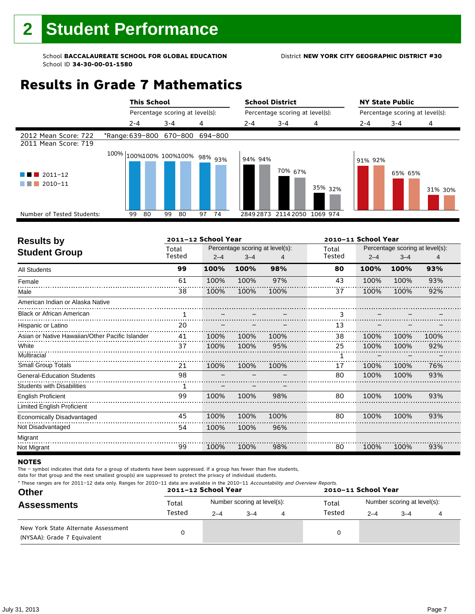# **Results in Grade 7 Mathematics**

|                                              | <b>This School</b>                |          |          | <b>School District</b> |                                 |          | <b>NY State Public</b> |                                 |         |
|----------------------------------------------|-----------------------------------|----------|----------|------------------------|---------------------------------|----------|------------------------|---------------------------------|---------|
|                                              | Percentage scoring at level(s):   |          |          |                        | Percentage scoring at level(s): |          |                        | Percentage scoring at level(s): |         |
|                                              | $2 - 4$                           | $3 - 4$  | 4        | $2 - 4$                | $3 - 4$                         | 4        | $2 - 4$                | $3 - 4$                         | 4       |
| 2012 Mean Score: 722<br>2011 Mean Score: 719 | *Range: 639-800 670-800 694-800   |          |          |                        |                                 |          |                        |                                 |         |
| $2011 - 12$<br>2010-11<br>a sa               | $100\%$ 100%100% 100%100% 98% 93% |          |          | 94% 94%                | 70% <sub>67%</sub>              | 35% 32%  | 91% 92%                | 65% 65%                         | 31% 30% |
| Number of Tested Students:                   | 80<br>99                          | 99<br>80 | 74<br>97 | 28492873               | 2114 2050                       | 1069 974 |                        |                                 |         |
|                                              |                                   |          |          |                        |                                 |          |                        |                                 |         |

| <b>Results by</b>                               |        | 2011-12 School Year |                                 |      |        | 2010-11 School Year |                                 |      |  |
|-------------------------------------------------|--------|---------------------|---------------------------------|------|--------|---------------------|---------------------------------|------|--|
| <b>Student Group</b>                            | Total  |                     | Percentage scoring at level(s): |      | Total  |                     | Percentage scoring at level(s): |      |  |
|                                                 | Tested | $2 - 4$             | $3 - 4$                         |      | Tested | $2 - 4$             | $3 - 4$                         | 4    |  |
| <b>All Students</b>                             | 99     | 100%                | 100%                            | 98%  | 80     | 100%                | 100%                            | 93%  |  |
| Female                                          | 61     | 100%                | 100%                            | 97%  | 43     | 100%                | 100%                            | 93%  |  |
| Male                                            | 38     | 100%                | 100%                            | 100% | 37     | 100%                | 100%                            | 92%  |  |
| American Indian or Alaska Native                |        |                     |                                 |      |        |                     |                                 |      |  |
| <b>Black or African American</b>                | 1      |                     |                                 |      | 3      |                     |                                 |      |  |
| Hispanic or Latino                              | 20     |                     |                                 |      | 13     |                     |                                 |      |  |
| Asian or Native Hawaiian/Other Pacific Islander | 41     | 100%                | 100%                            | 100% | 38     | 100%                | 100%                            | 100% |  |
| White                                           | 37     | 100%                | 100%                            | 95%  | 25     | 100%                | 100%                            | 92%  |  |
| Multiracial                                     |        |                     |                                 |      |        |                     |                                 |      |  |
| Small Group Totals                              | 21     | 100%                | 100%                            | 100% | 17     | 100%                | 100%                            | 76%  |  |
| <b>General-Education Students</b>               | 98     |                     |                                 |      | 80     | 100%                | 100%                            | 93%  |  |
| <b>Students with Disabilities</b>               |        |                     |                                 |      |        |                     |                                 |      |  |
| <b>English Proficient</b>                       | 99     | 100%                | 100%                            | 98%  | 80     | 100%                | 100%                            | 93%  |  |
| Limited English Proficient                      |        |                     |                                 |      |        |                     |                                 |      |  |
| Economically Disadvantaged                      | 45     | 100%                | 100%                            | 100% | 80     | 100%                | 100%                            | 93%  |  |
| Not Disadvantaged                               | 54     | 100%                | 100%                            | 96%  |        |                     |                                 |      |  |
| Migrant                                         |        |                     |                                 |      |        |                     |                                 |      |  |
| Not Migrant                                     | 99     | 100%                | 100%                            | 98%  | 80     | 100%                | 100%                            | 93%  |  |

#### **NOTES**

The – symbol indicates that data for a group of students have been suppressed. If a group has fewer than five students,

| * These ranges are for 2011-12 data only. Ranges for 2010-11 data are available in the 2010-11 Accountability and Overview Reports. |  |
|-------------------------------------------------------------------------------------------------------------------------------------|--|
|-------------------------------------------------------------------------------------------------------------------------------------|--|

| <b>Other</b>                                                       |        | 2011-12 School Year |                             | 2010-11 School Year |                                                   |  |  |  |
|--------------------------------------------------------------------|--------|---------------------|-----------------------------|---------------------|---------------------------------------------------|--|--|--|
| <b>Assessments</b>                                                 | Total  |                     | Number scoring at level(s): | Total               | Number scoring at level(s):<br>$2 - 4$<br>$3 - 4$ |  |  |  |
|                                                                    | Tested | $2 - 4$             | $-4$                        | Tested              |                                                   |  |  |  |
| New York State Alternate Assessment<br>(NYSAA): Grade 7 Equivalent |        |                     |                             | 0                   |                                                   |  |  |  |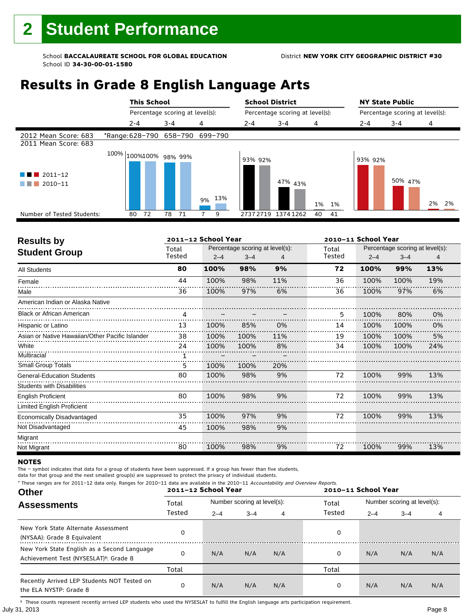# **Results in Grade 8 English Language Arts**

|                                              | <b>This School</b>              |                                 |        | <b>School District</b> |                                 |          | <b>NY State Public</b>          |         |            |  |
|----------------------------------------------|---------------------------------|---------------------------------|--------|------------------------|---------------------------------|----------|---------------------------------|---------|------------|--|
|                                              |                                 | Percentage scoring at level(s): |        |                        | Percentage scoring at level(s): |          | Percentage scoring at level(s): |         |            |  |
|                                              | $2 - 4$                         | $3 - 4$                         | 4      | $2 - 4$                | $3 - 4$                         | 4        | $2 - 4$                         | $3 - 4$ | 4          |  |
| 2012 Mean Score: 683<br>2011 Mean Score: 683 | *Range: 628-790 658-790 699-790 |                                 |        |                        |                                 |          |                                 |         |            |  |
| $\blacksquare$ 2011-12<br>2010-11            | $100\%$ 100%100% 98% 99%        |                                 | 9% 13% | 93% 92%                | 47% 43%                         | 1% 1%    | 93% 92%                         | 50% 47% | 2%<br>- 2% |  |
| Number of Tested Students:                   | 72<br>80                        | 78<br>- 71                      | 9      | 27372719               | 13741262                        | 40<br>41 |                                 |         |            |  |
|                                              |                                 |                                 |        |                        |                                 |          |                                 |         |            |  |

| <b>Results by</b>                               |                 | 2011-12 School Year |                                            |     |        | 2010-11 School Year<br>Percentage scoring at level(s):<br>Total |         |     |  |  |
|-------------------------------------------------|-----------------|---------------------|--------------------------------------------|-----|--------|-----------------------------------------------------------------|---------|-----|--|--|
| <b>Student Group</b>                            | Total<br>Tested | $2 - 4$             | Percentage scoring at level(s):<br>$3 - 4$ |     | Tested | $2 - 4$                                                         | $3 - 4$ | 4   |  |  |
| <b>All Students</b>                             | 80              | 100%                | 98%                                        | 9%  | 72     | 100%                                                            | 99%     | 13% |  |  |
| Female                                          | 44              | 100%                | 98%                                        | 11% | 36     | 100%                                                            | 100%    | 19% |  |  |
| Male                                            | 36              | 100%                | 97%                                        | 6%  | 36     | 100%                                                            | 97%     | 6%  |  |  |
| American Indian or Alaska Native                |                 |                     |                                            |     |        |                                                                 |         |     |  |  |
| <b>Black or African American</b>                | 4               |                     |                                            |     | 5      | 100%                                                            | 80%     | 0%  |  |  |
| Hispanic or Latino                              | 13              | 100%                | 85%                                        | 0%  | 14     | 100%                                                            | 100%    | 0%  |  |  |
| Asian or Native Hawaiian/Other Pacific Islander | 38              | 100%                | 100%                                       | 11% | 19     | 100%                                                            | 100%    | 5%  |  |  |
| White                                           | 24              | 100%                | 100%                                       | 8%  | 34     | 100%                                                            | 100%    | 24% |  |  |
| Multiracial                                     |                 |                     |                                            |     |        |                                                                 |         |     |  |  |
| Small Group Totals                              | 5               | 100%                | 100%                                       | 20% |        |                                                                 |         |     |  |  |
| <b>General-Education Students</b>               | 80              | 100%                | 98%                                        | 9%  | 72     | 100%                                                            | 99%     | 13% |  |  |
| <b>Students with Disabilities</b>               |                 |                     |                                            |     |        |                                                                 |         |     |  |  |
| <b>English Proficient</b>                       | 80              | 100%                | 98%                                        | 9%  | 72     | 100%                                                            | 99%     | 13% |  |  |
| Limited English Proficient                      |                 |                     |                                            |     |        |                                                                 |         |     |  |  |
| Economically Disadvantaged                      | 35              | 100%                | 97%                                        | 9%  | 72     | 100%                                                            | 99%     | 13% |  |  |
| Not Disadvantaged                               | 45              | 100%                | 98%                                        | 9%  |        |                                                                 |         |     |  |  |
| Migrant                                         |                 |                     |                                            |     |        |                                                                 |         |     |  |  |
| Not Migrant                                     | 80              | 100%                | 98%                                        | 9%  | 72     | 100%                                                            | 99%     | 13% |  |  |

#### **NOTES**

The – symbol indicates that data for a group of students have been suppressed. If a group has fewer than five students,

data for that group and the next smallest group(s) are suppressed to protect the privacy of individual students. \* These ranges are for 2011–12 data only. Ranges for 2010–11 data are available in the 2010–11 Accountability and Overview Reports.

| These ranges are for zolling and only. Nanges for zolong it data are available in the zolong factourhability and Overview Reports.<br><b>Other</b> |        | 2011-12 School Year |                             |     |        | 2010-11 School Year |                             |     |  |  |
|----------------------------------------------------------------------------------------------------------------------------------------------------|--------|---------------------|-----------------------------|-----|--------|---------------------|-----------------------------|-----|--|--|
| <b>Assessments</b>                                                                                                                                 | Total  |                     | Number scoring at level(s): |     | Total  |                     | Number scoring at level(s): |     |  |  |
|                                                                                                                                                    | Tested | $2 - 4$             | $3 - 4$                     | 4   | Tested | $2 - 4$             | $3 - 4$                     |     |  |  |
| New York State Alternate Assessment<br>(NYSAA): Grade 8 Equivalent                                                                                 |        |                     |                             |     | 0      |                     |                             |     |  |  |
| New York State English as a Second Language<br>Achievement Test (NYSESLAT) <sup>†</sup> : Grade 8                                                  |        | N/A                 | N/A                         | N/A | 0      | N/A                 | N/A                         | N/A |  |  |
|                                                                                                                                                    | Total  |                     |                             |     | Total  |                     |                             |     |  |  |
| Recently Arrived LEP Students NOT Tested on<br>the ELA NYSTP: Grade 8                                                                              |        | N/A                 | N/A                         | N/A | 0      | N/A                 | N/A                         | N/A |  |  |

July 31, 2013 Page 8 † These counts represent recently arrived LEP students who used the NYSESLAT to fulfill the English language arts participation requirement.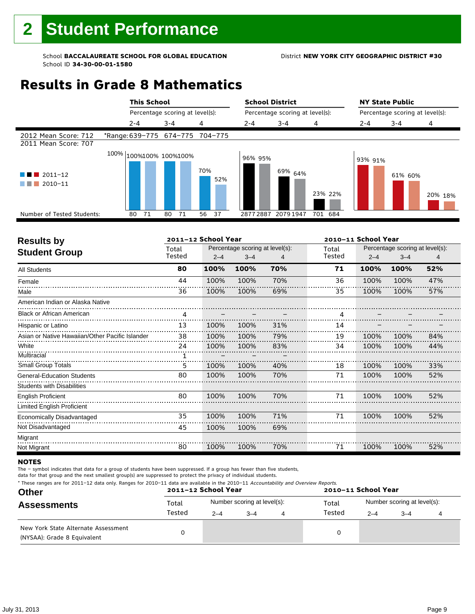# **Results in Grade 8 Mathematics**

|                                                                                                                                         | <b>This School</b>              |                                 |            | <b>School District</b><br>Percentage scoring at level(s): |                    |         |                                 | <b>NY State Public</b> |         |
|-----------------------------------------------------------------------------------------------------------------------------------------|---------------------------------|---------------------------------|------------|-----------------------------------------------------------|--------------------|---------|---------------------------------|------------------------|---------|
|                                                                                                                                         |                                 | Percentage scoring at level(s): |            |                                                           |                    |         | Percentage scoring at level(s): |                        |         |
|                                                                                                                                         | $2 - 4$                         | $3 - 4$                         | 4          | $2 - 4$                                                   | $3 - 4$            | 4       | 2-4                             | $3 - 4$                | 4       |
| 2012 Mean Score: 712<br>2011 Mean Score: 707                                                                                            | *Range: 639-775 674-775 704-775 |                                 |            |                                                           |                    |         |                                 |                        |         |
| $2011 - 12$<br>a kacamatan ing Kabupatèn Kabupatèn Ing Kabupatèn Kabupatèn Kabupatèn Kabupatèn Kabupatèn Kabupatèn Kabupatèn<br>2010-11 | 100% 100%100% 100%100%          |                                 | 70%<br>52% | 96% 95%                                                   | 69% <sub>64%</sub> | 23% 22% | 93% 91%                         | 61% 60%                | 20% 18% |
| Number of Tested Students:                                                                                                              | 71<br>80                        | 80<br>71                        | 56<br>-37  | 28772887                                                  | 2079 1947          | 701 684 |                                 |                        |         |
|                                                                                                                                         |                                 |                                 |            |                                                           |                    |         |                                 |                        |         |

| <b>Results by</b>                               |        | 2011-12 School Year |                                 |     |        | 2010-11 School Year |                                 |     |  |  |
|-------------------------------------------------|--------|---------------------|---------------------------------|-----|--------|---------------------|---------------------------------|-----|--|--|
| <b>Student Group</b>                            | Total  |                     | Percentage scoring at level(s): |     | Total  |                     | Percentage scoring at level(s): |     |  |  |
|                                                 | Tested | $2 - 4$             | $3 - 4$                         | 4   | Tested | $2 - 4$             | $3 - 4$                         | 4   |  |  |
| <b>All Students</b>                             | 80     | 100%                | 100%                            | 70% | 71     | 100%                | 100%                            | 52% |  |  |
| Female                                          | 44     | 100%                | 100%                            | 70% | 36     | 100%                | 100%                            | 47% |  |  |
| Male                                            | 36     | 100%                | 100%                            | 69% | 35     | 100%                | 100%                            | 57% |  |  |
| American Indian or Alaska Native                |        |                     |                                 |     |        |                     |                                 |     |  |  |
| <b>Black or African American</b>                | 4      |                     |                                 |     | 4      |                     |                                 |     |  |  |
| Hispanic or Latino                              | 13     | 100%                | 100%                            | 31% | 14     |                     |                                 |     |  |  |
| Asian or Native Hawaiian/Other Pacific Islander | 38     | 100%                | 100%                            | 79% | 19     | 100%                | 100%                            | 84% |  |  |
| White                                           | 24     | 100%                | 100%                            | 83% | 34     | 100%                | 100%                            | 44% |  |  |
| Multiracial                                     |        |                     |                                 |     |        |                     |                                 |     |  |  |
| Small Group Totals                              | 5      | 100%                | 100%                            | 40% | 18     | 100%                | 100%                            | 33% |  |  |
| <b>General-Education Students</b>               | 80     | 100%                | 100%                            | 70% | 71     | 100%                | 100%                            | 52% |  |  |
| <b>Students with Disabilities</b>               |        |                     |                                 |     |        |                     |                                 |     |  |  |
| <b>English Proficient</b>                       | 80     | 100%                | 100%                            | 70% | 71     | 100%                | 100%                            | 52% |  |  |
| <b>Limited English Proficient</b>               |        |                     |                                 |     |        |                     |                                 |     |  |  |
| Economically Disadvantaged                      | 35     | 100%                | 100%                            | 71% | 71     | 100%                | 100%                            | 52% |  |  |
| Not Disadvantaged                               | 45     | 100%                | 100%                            | 69% |        |                     |                                 |     |  |  |
| Migrant                                         |        |                     |                                 |     |        |                     |                                 |     |  |  |
| Not Migrant                                     | 80     | 100%                | 100%                            | 70% | 71     | 100%                | 100%                            | 52% |  |  |

#### **NOTES**

The – symbol indicates that data for a group of students have been suppressed. If a group has fewer than five students,

| -- | <b>DOAA AD Cabool Voor</b>                                                                                                          | $\begin{array}{c} \n\text{and} \\ \text{and} \\ \end{array}$ |
|----|-------------------------------------------------------------------------------------------------------------------------------------|--------------------------------------------------------------|
|    | * These ranges are for 2011-12 data only. Ranges for 2010-11 data are available in the 2010-11 Accountability and Overview Reports. |                                                              |

| <b>Other</b>                                                       |        | 2011-12 School Year |                             |   | 2010-11 School Year |                             |         |  |  |
|--------------------------------------------------------------------|--------|---------------------|-----------------------------|---|---------------------|-----------------------------|---------|--|--|
| <b>Assessments</b>                                                 | Total  |                     | Number scoring at level(s): |   | Total               | Number scoring at level(s): |         |  |  |
|                                                                    | Tested | $2 - 4$             | $3 - 4$                     | 4 | Tested              | $2 - 4$                     | $3 - 4$ |  |  |
| New York State Alternate Assessment<br>(NYSAA): Grade 8 Equivalent |        |                     |                             |   | 0                   |                             |         |  |  |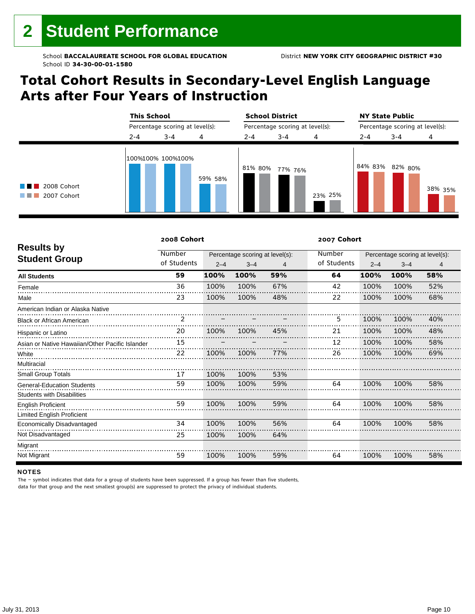# **Total Cohort Results in Secondary-Level English Language Arts after Four Years of Instruction**



|                                                 | 2008 Cohort |         |                                 |     | 2007 Cohort |         |                                                                                              |     |  |  |  |  |  |
|-------------------------------------------------|-------------|---------|---------------------------------|-----|-------------|---------|----------------------------------------------------------------------------------------------|-----|--|--|--|--|--|
| <b>Results by</b>                               | Number      |         | Percentage scoring at level(s): |     | Number      |         | Percentage scoring at level(s):<br>$3 - 4$<br>4<br>58%<br>100%<br>100%<br>52%<br>100%<br>68% |     |  |  |  |  |  |
| <b>Student Group</b>                            | of Students | $2 - 4$ | $3 - 4$                         | 4   | of Students | $2 - 4$ |                                                                                              |     |  |  |  |  |  |
| <b>All Students</b>                             | 59          | 100%    | 100%                            | 59% | 64          | 100%    |                                                                                              |     |  |  |  |  |  |
| Female                                          | 36          | 100%    | 100%                            | 67% | 42          | 100%    |                                                                                              |     |  |  |  |  |  |
| Male                                            | 23          | 100%    | 100%                            | 48% | 22          | 100%    |                                                                                              |     |  |  |  |  |  |
| American Indian or Alaska Native                |             |         |                                 |     |             |         |                                                                                              |     |  |  |  |  |  |
| <b>Black or African American</b>                | 2           |         |                                 |     | 5           | 100%    | 100%                                                                                         | 40% |  |  |  |  |  |
| Hispanic or Latino                              | 20          | 100%    | 100%                            | 45% | 21          | 100%    | 100%                                                                                         | 48% |  |  |  |  |  |
| Asian or Native Hawaiian/Other Pacific Islander | 15          |         |                                 |     | 12          | 100%    | 100%                                                                                         | 58% |  |  |  |  |  |
| White                                           | 22          | 100%    | 100%                            | 77% | 26          | 100%    | 100%                                                                                         | 69% |  |  |  |  |  |
| Multiracial                                     |             |         |                                 |     |             |         |                                                                                              |     |  |  |  |  |  |
| <b>Small Group Totals</b>                       | 17          | 100%    | 100%                            | 53% |             |         |                                                                                              |     |  |  |  |  |  |
| <b>General-Education Students</b>               | 59          | 100%    | 100%                            | 59% | 64          | 100%    | 100%                                                                                         | 58% |  |  |  |  |  |
| <b>Students with Disabilities</b>               |             |         |                                 |     |             |         |                                                                                              |     |  |  |  |  |  |
| <b>English Proficient</b>                       | 59          | 100%    | 100%                            | 59% | 64          | 100%    | 100%                                                                                         | 58% |  |  |  |  |  |
| Limited English Proficient                      |             |         |                                 |     |             |         |                                                                                              |     |  |  |  |  |  |
| Economically Disadvantaged                      | 34          | 100%    | 100%                            | 56% | 64          | 100%    | 100%                                                                                         | 58% |  |  |  |  |  |
| Not Disadvantaged                               | 25          | 100%    | 100%                            | 64% |             |         |                                                                                              |     |  |  |  |  |  |
| Migrant                                         |             |         |                                 |     |             |         |                                                                                              |     |  |  |  |  |  |
| Not Migrant                                     | 59          | 100%    | 100%                            | 59% | 64          | 100%    | 100%                                                                                         | 58% |  |  |  |  |  |

#### **NOTES**

The – symbol indicates that data for a group of students have been suppressed. If a group has fewer than five students,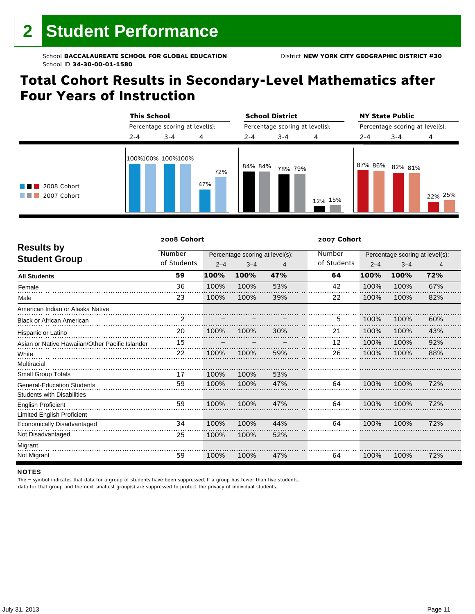# **Total Cohort Results in Secondary-Level Mathematics after Four Years of Instruction**



|                                                 | 2008 Cohort |         |                                 |     | 2007 Cohort |         |                                 |     |  |  |  |  |
|-------------------------------------------------|-------------|---------|---------------------------------|-----|-------------|---------|---------------------------------|-----|--|--|--|--|
| <b>Results by</b>                               | Number      |         | Percentage scoring at level(s): |     | Number      |         | Percentage scoring at level(s): |     |  |  |  |  |
| <b>Student Group</b>                            | of Students | $2 - 4$ | $3 - 4$                         | 4   | of Students | $2 - 4$ | $3 - 4$                         | 4   |  |  |  |  |
| <b>All Students</b>                             | 59          | 100%    | 100%                            | 47% | 64          | 100%    | 100%                            | 72% |  |  |  |  |
| Female                                          | 36          | 100%    | 100%                            | 53% | 42          | 100%    | 100%                            | 67% |  |  |  |  |
| Male                                            | 23          | 100%    | 100%                            | 39% | 22          | 100%    | 100%                            | 82% |  |  |  |  |
| American Indian or Alaska Native                |             |         |                                 |     |             |         |                                 |     |  |  |  |  |
| <b>Black or African American</b>                | 2           |         |                                 |     | 5           | 100%    | 100%                            | 60% |  |  |  |  |
| Hispanic or Latino                              | 20          | 100%    | 100%                            | 30% | 21          | 100%    | 100%                            | 43% |  |  |  |  |
| Asian or Native Hawaiian/Other Pacific Islander | 15          |         |                                 |     | 12          | 100%    | 100%                            | 92% |  |  |  |  |
| White                                           | 22          | 100%    | 100%                            | 59% | 26          | 100%    | 100%                            | 88% |  |  |  |  |
| Multiracial                                     |             |         |                                 |     |             |         |                                 |     |  |  |  |  |
| <b>Small Group Totals</b>                       | 17          | 100%    | 100%                            | 53% |             |         |                                 |     |  |  |  |  |
| <b>General-Education Students</b>               | 59          | 100%    | 100%                            | 47% | 64          | 100%    | 100%                            | 72% |  |  |  |  |
| <b>Students with Disabilities</b>               |             |         |                                 |     |             |         |                                 |     |  |  |  |  |
| <b>English Proficient</b>                       | 59          | 100%    | 100%                            | 47% | 64          | 100%    | 100%                            | 72% |  |  |  |  |
| Limited English Proficient                      |             |         |                                 |     |             |         |                                 |     |  |  |  |  |
| Economically Disadvantaged                      | 34          | 100%    | 100%                            | 44% | 64          | 100%    | 100%                            | 72% |  |  |  |  |
| Not Disadvantaged                               | 25          | 100%    | 100%                            | 52% |             |         |                                 |     |  |  |  |  |
| Migrant                                         |             |         |                                 |     |             |         |                                 |     |  |  |  |  |
| Not Migrant                                     | 59          | 100%    | 100%                            | 47% | 64          | 100%    | 100%                            | 72% |  |  |  |  |

#### **NOTES**

The – symbol indicates that data for a group of students have been suppressed. If a group has fewer than five students,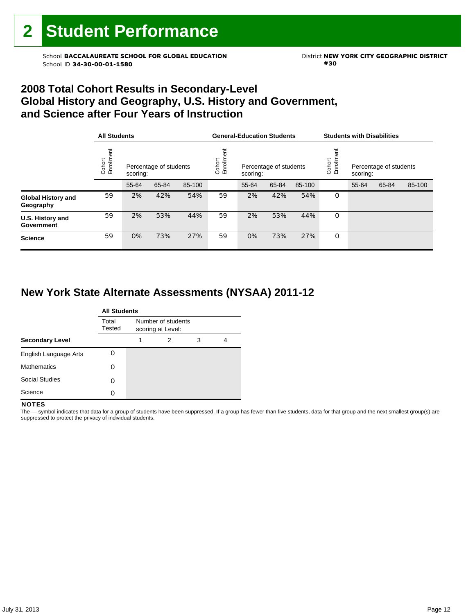School **BACCALAUREATE SCHOOL FOR GLOBAL EDUCATION** District **NEW YORK CITY GEOGRAPHIC DISTRICT**<br>School ID 34-30-00-01-1580 School ID **34-30-00-01-1580 #30**

### **2008 Total Cohort Results in Secondary-Level Global History and Geography, U.S. History and Government, and Science after Four Years of Instruction**

|                                        | <b>All Students</b>                                        |       |       |        |                    | <b>General-Education Students</b> |                        |        | <b>Students with Disabilities</b> |                                    |       |        |
|----------------------------------------|------------------------------------------------------------|-------|-------|--------|--------------------|-----------------------------------|------------------------|--------|-----------------------------------|------------------------------------|-------|--------|
|                                        | Cohort<br>Enrollment<br>Percentage of students<br>scoring: |       |       |        | Enrollme<br>Cohort | scoring:                          | Percentage of students |        | Cohort<br>Enrollm                 | Percentage of students<br>scoring: |       |        |
|                                        |                                                            | 55-64 | 65-84 | 85-100 |                    | 55-64                             | 65-84                  | 85-100 |                                   | 55-64                              | 65-84 | 85-100 |
| <b>Global History and</b><br>Geography | 59                                                         | 2%    | 42%   | 54%    | 59                 | 2%                                | 42%                    | 54%    | 0                                 |                                    |       |        |
| U.S. History and<br>Government         | 59                                                         | 2%    | 53%   | 44%    | 59                 | 2%                                | 53%                    | 44%    | 0                                 |                                    |       |        |
| <b>Science</b>                         | 59                                                         | 0%    | 73%   | 27%    | 59                 | 0%                                | 73%                    | 27%    | 0                                 |                                    |       |        |

### **New York State Alternate Assessments (NYSAA) 2011-12**

|                        | <b>All Students</b> |                                         |   |   |   |  |  |  |  |
|------------------------|---------------------|-----------------------------------------|---|---|---|--|--|--|--|
|                        | Total<br>Tested     | Number of students<br>scoring at Level: |   |   |   |  |  |  |  |
| <b>Secondary Level</b> |                     | 1                                       | 2 | 3 | 4 |  |  |  |  |
| English Language Arts  |                     |                                         |   |   |   |  |  |  |  |
| <b>Mathematics</b>     | Ω                   |                                         |   |   |   |  |  |  |  |
| <b>Social Studies</b>  | Ω                   |                                         |   |   |   |  |  |  |  |
| Science                | Ω                   |                                         |   |   |   |  |  |  |  |

#### **NOTES**

 The — symbol indicates that data for a group of students have been suppressed. If a group has fewer than five students, data for that group and the next smallest group(s) are suppressed to protect the privacy of individual students.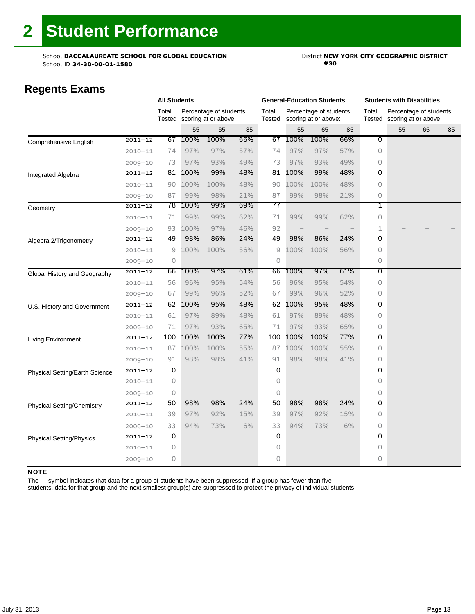School **BACCALAUREATE SCHOOL FOR GLOBAL EDUCATION** District **NEW YORK CITY GEOGRAPHIC DISTRICT**<br>School ID 34-30-00-01-1580 School ID 34-30-00-01-1580

### **Regents Exams**

|                                 |             | <b>All Students</b> |      |                                                |     | <b>General-Education Students</b> |                                                |      |     | <b>Students with Disabilities</b> |                                                |    |    |
|---------------------------------|-------------|---------------------|------|------------------------------------------------|-----|-----------------------------------|------------------------------------------------|------|-----|-----------------------------------|------------------------------------------------|----|----|
|                                 |             | Total<br>Tested     |      | Percentage of students<br>scoring at or above: |     | Total<br>Tested                   | Percentage of students<br>scoring at or above: |      |     | Total<br>Tested                   | Percentage of students<br>scoring at or above: |    |    |
|                                 |             |                     | 55   | 65                                             | 85  |                                   | 55                                             | 65   | 85  |                                   | 55                                             | 65 | 85 |
| <b>Comprehensive English</b>    | $2011 - 12$ | 67                  | 100% | 100%                                           | 66% | 67                                | 100%                                           | 100% | 66% | $\overline{0}$                    |                                                |    |    |
|                                 | $2010 - 11$ | 74                  | 97%  | 97%                                            | 57% | 74                                | 97%                                            | 97%  | 57% | $\circ$                           |                                                |    |    |
|                                 | $2009 - 10$ | 73                  | 97%  | 93%                                            | 49% | 73                                | 97%                                            | 93%  | 49% | 0                                 |                                                |    |    |
| Integrated Algebra              | $2011 - 12$ | 81                  | 100% | 99%                                            | 48% | 81                                | 100%                                           | 99%  | 48% | $\overline{0}$                    |                                                |    |    |
|                                 | $2010 - 11$ | 90                  | 100% | 100%                                           | 48% | 90                                | 100%                                           | 100% | 48% | 0                                 |                                                |    |    |
|                                 | $2009 - 10$ | 87                  | 99%  | 98%                                            | 21% | 87                                | 99%                                            | 98%  | 21% | 0                                 |                                                |    |    |
| Geometry                        | $2011 - 12$ | 78                  | 100% | 99%                                            | 69% | 77                                | $\qquad \qquad -$                              |      |     | 1                                 |                                                |    |    |
|                                 | $2010 - 11$ | 71                  | 99%  | 99%                                            | 62% | 71                                | 99%                                            | 99%  | 62% | 0                                 |                                                |    |    |
|                                 | $2009 - 10$ | 93                  | 100% | 97%                                            | 46% | 92                                |                                                |      |     | 1                                 |                                                |    |    |
| Algebra 2/Trigonometry          | $2011 - 12$ | 49                  | 98%  | 86%                                            | 24% | 49                                | 98%                                            | 86%  | 24% | 0                                 |                                                |    |    |
|                                 | $2010 - 11$ | 9                   | 100% | 100%                                           | 56% | 9                                 | 100%                                           | 100% | 56% | 0                                 |                                                |    |    |
|                                 | $2009 - 10$ | 0                   |      |                                                |     | $\circ$                           |                                                |      |     | 0                                 |                                                |    |    |
| Global History and Geography    | $2011 - 12$ | 66                  | 100% | 97%                                            | 61% | 66                                | 100%                                           | 97%  | 61% | $\overline{0}$                    |                                                |    |    |
|                                 | $2010 - 11$ | 56                  | 96%  | 95%                                            | 54% | 56                                | 96%                                            | 95%  | 54% | 0                                 |                                                |    |    |
|                                 | $2009 - 10$ | 67                  | 99%  | 96%                                            | 52% | 67                                | 99%                                            | 96%  | 52% | 0                                 |                                                |    |    |
| U.S. History and Government     | $2011 - 12$ | 62                  | 100% | 95%                                            | 48% | 62                                | 100%                                           | 95%  | 48% | $\overline{0}$                    |                                                |    |    |
|                                 | $2010 - 11$ | 61                  | 97%  | 89%                                            | 48% | 61                                | 97%                                            | 89%  | 48% | 0                                 |                                                |    |    |
|                                 | $2009 - 10$ | 71                  | 97%  | 93%                                            | 65% | 71                                | 97%                                            | 93%  | 65% | 0                                 |                                                |    |    |
| Living Environment              | $2011 - 12$ | 100                 | 100% | 100%                                           | 77% | 100                               | 100%                                           | 100% | 77% | $\overline{0}$                    |                                                |    |    |
|                                 | $2010 - 11$ | 87                  | 100% | 100%                                           | 55% | 87                                | 100%                                           | 100% | 55% | 0                                 |                                                |    |    |
|                                 | $2009 - 10$ | 91                  | 98%  | 98%                                            | 41% | 91                                | 98%                                            | 98%  | 41% | 0                                 |                                                |    |    |
| Physical Setting/Earth Science  | $2011 - 12$ | 0                   |      |                                                |     | 0                                 |                                                |      |     | $\overline{0}$                    |                                                |    |    |
|                                 | $2010 - 11$ | $\Omega$            |      |                                                |     | $\Omega$                          |                                                |      |     | 0                                 |                                                |    |    |
|                                 | $2009 - 10$ | 0                   |      |                                                |     | $\circ$                           |                                                |      |     | 0                                 |                                                |    |    |
| Physical Setting/Chemistry      | $2011 - 12$ | 50                  | 98%  | 98%                                            | 24% | 50                                | 98%                                            | 98%  | 24% | O                                 |                                                |    |    |
|                                 | $2010 - 11$ | 39                  | 97%  | 92%                                            | 15% | 39                                | 97%                                            | 92%  | 15% | 0                                 |                                                |    |    |
|                                 | $2009 - 10$ | 33                  | 94%  | 73%                                            | 6%  | 33                                | 94%                                            | 73%  | 6%  | 0                                 |                                                |    |    |
| <b>Physical Setting/Physics</b> | $2011 - 12$ | $\overline{0}$      |      |                                                |     | $\overline{0}$                    |                                                |      |     | $\overline{0}$                    |                                                |    |    |
|                                 | $2010 - 11$ | 0                   |      |                                                |     | $\circ$                           |                                                |      |     | 0                                 |                                                |    |    |
|                                 | $2009 - 10$ | 0                   |      |                                                |     | $\Omega$                          |                                                |      |     | 0                                 |                                                |    |    |

#### NOTE

The — symbol indicates that data for a group of students have been suppressed. If a group has fewer than five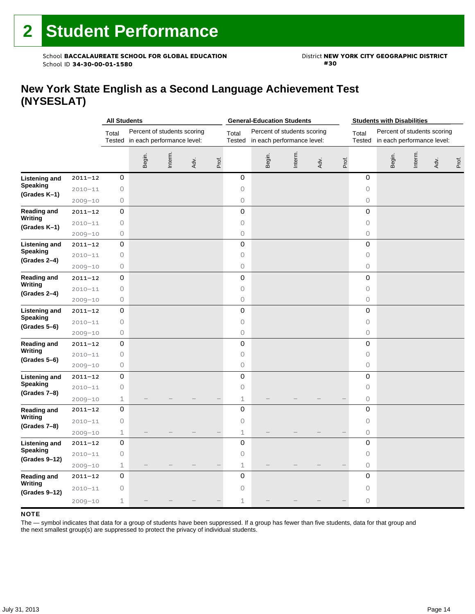School **BACCALAUREATE SCHOOL FOR GLOBAL EDUCATION** District **NEW YORK CITY GEOGRAPHIC DISTRICT**<br>School ID 34-30-00-01-1580 School ID 34-30-00-01-1580

### **New York State English as a Second Language Achievement Test (NYSESLAT)**

|                          |             | <b>All Students</b>                                                       |        |         |      |       | <b>General-Education Students</b> |                                                                  |         |      |       | <b>Students with Disabilities</b> |                                                                  |         |      |       |
|--------------------------|-------------|---------------------------------------------------------------------------|--------|---------|------|-------|-----------------------------------|------------------------------------------------------------------|---------|------|-------|-----------------------------------|------------------------------------------------------------------|---------|------|-------|
|                          |             | Percent of students scoring<br>Total<br>Tested in each performance level: |        |         |      |       | Total                             | Percent of students scoring<br>Tested in each performance level: |         |      |       | Total                             | Percent of students scoring<br>Tested in each performance level: |         |      |       |
|                          |             |                                                                           | Begin. | Interm. | Adv. | Prof. |                                   | Begin.                                                           | Interm. | Adv. | Prof. |                                   | Begin.                                                           | Interm. | Adv. | Prof. |
| <b>Listening and</b>     | $2011 - 12$ | 0                                                                         |        |         |      |       | 0                                 |                                                                  |         |      |       | 0                                 |                                                                  |         |      |       |
| <b>Speaking</b>          | $2010 - 11$ | 0                                                                         |        |         |      |       | 0                                 |                                                                  |         |      |       | 0                                 |                                                                  |         |      |       |
| (Grades K-1)             | $2009 - 10$ | 0                                                                         |        |         |      |       | 0                                 |                                                                  |         |      |       | 0                                 |                                                                  |         |      |       |
| Reading and              | $2011 - 12$ | $\mathsf O$                                                               |        |         |      |       | 0                                 |                                                                  |         |      |       | 0                                 |                                                                  |         |      |       |
| Writing                  | $2010 - 11$ | $\circledcirc$                                                            |        |         |      |       | 0                                 |                                                                  |         |      |       | $\circ$                           |                                                                  |         |      |       |
| (Grades K-1)             | $2009 - 10$ | $\circledcirc$                                                            |        |         |      |       | 0                                 |                                                                  |         |      |       | $\circ$                           |                                                                  |         |      |       |
| <b>Listening and</b>     | $2011 - 12$ | $\mathsf{O}\xspace$                                                       |        |         |      |       | $\mathbf 0$                       |                                                                  |         |      |       | $\mathsf{O}\xspace$               |                                                                  |         |      |       |
| <b>Speaking</b>          | $2010 - 11$ | $\bigcirc$                                                                |        |         |      |       | 0                                 |                                                                  |         |      |       | $\circ$                           |                                                                  |         |      |       |
| (Grades 2-4)             | $2009 - 10$ | $\circledcirc$                                                            |        |         |      |       | 0                                 |                                                                  |         |      |       | 0                                 |                                                                  |         |      |       |
| Reading and              | 2011-12     | 0                                                                         |        |         |      |       | 0                                 |                                                                  |         |      |       | 0                                 |                                                                  |         |      |       |
| Writing                  | $2010 - 11$ | 0                                                                         |        |         |      |       | 0                                 |                                                                  |         |      |       | 0                                 |                                                                  |         |      |       |
| (Grades 2-4)             | $2009 - 10$ | 0                                                                         |        |         |      |       | 0                                 |                                                                  |         |      |       | 0                                 |                                                                  |         |      |       |
| <b>Listening and</b>     | $2011 - 12$ | 0                                                                         |        |         |      |       | 0                                 |                                                                  |         |      |       | 0                                 |                                                                  |         |      |       |
| Speaking                 | $2010 - 11$ | $\circledcirc$                                                            |        |         |      |       | 0                                 |                                                                  |         |      |       | $\circ$                           |                                                                  |         |      |       |
| (Grades 5-6)             | $2009 - 10$ | $\bigcirc$                                                                |        |         |      |       | 0                                 |                                                                  |         |      |       | 0                                 |                                                                  |         |      |       |
| Reading and              | $2011 - 12$ | 0                                                                         |        |         |      |       | $\mathsf 0$                       |                                                                  |         |      |       | $\mathsf{O}\xspace$               |                                                                  |         |      |       |
| Writing                  | $2010 - 11$ | 0                                                                         |        |         |      |       | $\circ$                           |                                                                  |         |      |       | 0                                 |                                                                  |         |      |       |
| (Grades 5–6)             | $2009 - 10$ | 0                                                                         |        |         |      |       | 0                                 |                                                                  |         |      |       | $\circ$                           |                                                                  |         |      |       |
| <b>Listening and</b>     | $2011 - 12$ | 0                                                                         |        |         |      |       | $\mathsf 0$                       |                                                                  |         |      |       | $\mathbf 0$                       |                                                                  |         |      |       |
| <b>Speaking</b>          | $2010 - 11$ | $\mathsf O$                                                               |        |         |      |       | $\circ$                           |                                                                  |         |      |       | 0                                 |                                                                  |         |      |       |
| (Grades 7-8)             | $2009 - 10$ | $\mathbf 1$                                                               |        |         |      |       | $\mathbf 1$                       |                                                                  |         |      |       | 0                                 |                                                                  |         |      |       |
| <b>Reading and</b>       | $2011 - 12$ | 0                                                                         |        |         |      |       | $\mathsf 0$                       |                                                                  |         |      |       | 0                                 |                                                                  |         |      |       |
| Writing                  | $2010 - 11$ | $\mathsf O$                                                               |        |         |      |       | $\circ$                           |                                                                  |         |      |       | $\circ$                           |                                                                  |         |      |       |
| (Grades 7-8)             | $2009 - 10$ | $\mathbf 1$                                                               |        |         |      |       | $\mathbf 1$                       |                                                                  |         |      |       | $\bigcirc$                        |                                                                  |         |      |       |
| <b>Listening and</b>     | $2011 - 12$ | 0                                                                         |        |         |      |       | 0                                 |                                                                  |         |      |       | 0                                 |                                                                  |         |      |       |
| Speaking                 | $2010 - 11$ | 0                                                                         |        |         |      |       | 0                                 |                                                                  |         |      |       | $\circ$                           |                                                                  |         |      |       |
| (Grades 9-12)            | $2009 - 10$ | $1\,$                                                                     |        |         |      |       | $\mathbf 1$                       |                                                                  |         |      |       | $\circ$                           |                                                                  |         |      |       |
| <b>Reading and</b>       | 2011-12     | 0                                                                         |        |         |      |       | 0                                 |                                                                  |         |      |       | $\mathbf 0$                       |                                                                  |         |      |       |
| Writing<br>(Grades 9-12) | $2010 - 11$ | 0                                                                         |        |         |      |       | 0                                 |                                                                  |         |      |       | $\circ$                           |                                                                  |         |      |       |
|                          | 2009-10     | 1                                                                         |        |         |      |       | $\mathbf 1$                       |                                                                  |         |      |       | 0                                 |                                                                  |         |      |       |

#### **NOTE**

The — symbol indicates that data for a group of students have been suppressed. If a group has fewer than five students, data for that group and the next smallest group(s) are suppressed to protect the privacy of individual students.